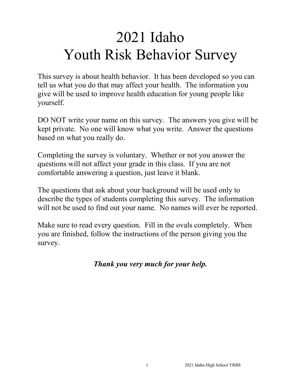# 2021 Idaho Youth Risk Behavior Survey

This survey is about health behavior. It has been developed so you can tell us what you do that may affect your health. The information you give will be used to improve health education for young people like yourself.

DO NOT write your name on this survey. The answers you give will be kept private. No one will know what you write. Answer the questions based on what you really do.

Completing the survey is voluntary. Whether or not you answer the questions will not affect your grade in this class. If you are not comfortable answering a question, just leave it blank.

The questions that ask about your background will be used only to describe the types of students completing this survey. The information will not be used to find out your name. No names will ever be reported.

Make sure to read every question. Fill in the ovals completely. When you are finished, follow the instructions of the person giving you the survey.

# *Thank you very much for your help.*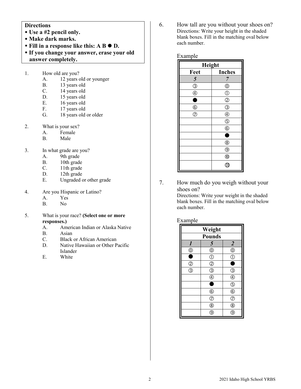# **Directions**

- **Use a #2 pencil only.**
- **Make dark marks.**
- Fill in a response like this: A B  $\bullet$  D.
- **If you change your answer, erase your old answer completely.**
- 1. How old are you?
	- A. 12 years old or younger
	- B. 13 years old
	- C. 14 years old
	- D. 15 years old<br>E. 16 years old
	- E. 16 years old<br>F. 17 years old
	- 17 years old
	- G. 18 years old or older
- 2. What is your sex?
	- A. Female<br>B. Male
	- Male
- 3. In what grade are you?
	- A. 9th grade<br>B. 10th grade
	- B. 10th grade<br>C. 11th grade
	- 11th grade
	- D. 12th grade
	- E. Ungraded or other grade
- 4. Are you Hispanic or Latino?
	- A. Yes
	- B. No
- 5. What is your race? **(Select one or more responses.)**
	- A. American Indian or Alaska Native
	- B. Asian
	- C. Black or African American
	- D. Native Hawaiian or Other Pacific Islander
	- E. White

6. How tall are you without your shoes on? Directions: Write your height in the shaded blank boxes. Fill in the matching oval below each number.

#### Example

| Height         |                    |  |
|----------------|--------------------|--|
| Feet           | <b>Inches</b>      |  |
| 5              | 7                  |  |
| $\circledS$    | $^{\circledR}$     |  |
| $\circledA$    | $\circled{1}$      |  |
| ۰              | $^{\circledR}$     |  |
| $^{\circledR}$ | $\circledS$        |  |
| $\circledcirc$ | $^{\circledR}$     |  |
|                | $\overline{\circ}$ |  |
|                | $\circledS$        |  |
|                | 0                  |  |
|                | $^{\circledR}$     |  |
|                | $^{\circledR}$     |  |
|                | $^{\circledR}$     |  |
|                | A1                 |  |

7. How much do you weigh without your shoes on?

> Directions: Write your weight in the shaded blank boxes. Fill in the matching oval below each number.

#### Example

| Weight           |                                     |                         |
|------------------|-------------------------------------|-------------------------|
| <b>Pounds</b>    |                                     |                         |
| $\boldsymbol{l}$ | 5                                   | $\boldsymbol{2}$        |
| $^{\circledR}$   | $^{\circledR}$                      | $\circledcirc$          |
|                  | $\overline{\mathbb{C}}$             | $\hat{C}$               |
| Z                | $\overline{c}$                      |                         |
| 3                | $\bar{\textcircled{\scriptsize 3}}$ | 3                       |
|                  | $\overline{\mathbb{A}}$             | C                       |
|                  | c                                   | $\overline{\mathbb{Q}}$ |
|                  | $\circled6$                         | $\overline{6}$          |
|                  | $\overline{C}$                      | $\bar{z}$               |
|                  | $\circledS$                         | 8                       |
|                  |                                     |                         |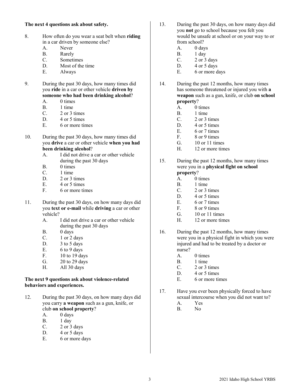# **The next 4 questions ask about safety.**

- 8. How often do you wear a seat belt when **riding**  in a car driven by someone else?
	-
	- A. Never<br>B. Rarely
	- B. Rarely<br>C. Sometii **Sometimes**
	- D. Most of the time
	- E. Always
- 9. During the past 30 days, how many times did you **ride** in a car or other vehicle **driven by someone who had been drinking alcohol**?
	- A. 0 times
	- B.  $1 \text{ time}$ <br>C.  $2 \text{ or } 31$
	- 2 or 3 times
	- D. 4 or 5 times
	- E. 6 or more times
- 10. During the past 30 days, how many times did you **drive** a car or other vehicle **when you had been drinking alcohol**?
	- A. I did not drive a car or other vehicle during the past 30 days
	- B. 0 times
	- C.  $1 \text{ time}$ <br>D  $2 \text{ or } 31$
	- 2 or 3 times
	- E. 4 or 5 times<br>F 6 or more tin
	- 6 or more times
- 11. During the past 30 days, on how many days did you **text or e-mail** while **driving** a car or other vehicle?
	- A. I did not drive a car or other vehicle during the past 30 days
	- B.  $0 \text{ days}$ <br>C.  $1 \text{ or } 2 \text{ days}$
	- 1 or 2 days
	- D.  $3$  to  $5$  days
	- E.  $6$  to  $9$  days
	- F. 10 to 19 days
	- G. 20 to 29 days
	- H. All 30 days

#### **The next 9 questions ask about violence-related behaviors and experiences.**

- 12. During the past 30 days, on how many days did you carry **a weapon** such as a gun, knife, or club **on school property**?
	- A. 0 days
	- B. 1 day
	- C. 2 or 3 days
	- D. 4 or 5 days
	- E. 6 or more days
- 13. During the past 30 days, on how many days did you **not** go to school because you felt you would be unsafe at school or on your way to or from school?
	- A. 0 days<br>B. 1 day
	- B. 1 day<br>C. 2 or 3
	- 2 or 3 days
	- D.  $4$  or  $5$  days
	- E. 6 or more days
- 14. During the past 12 months, how many times has someone threatened or injured you with **a weapon** such as a gun, knife, or club **on school property**?
	- A. 0 times
	- B.  $1 \text{ time}$ <br>C.  $2 \text{ or } 31$
	- 2 or 3 times
	- D. 4 or 5 times
	- E. 6 or 7 times
	- F. 8 or 9 times
	- G. 10 or 11 times
	- H. 12 or more times
- 15. During the past 12 months, how many times were you in a **physical fight on school property**?
	- A. 0 times
	- B. 1 time
	- C. 2 or 3 times
	- D. 4 or 5 times
	- E. 6 or 7 times
	- F. 8 or 9 times
	- G. 10 or 11 times
	- H. 12 or more times
- 16. During the past 12 months, how many times were you in a physical fight in which you were injured and had to be treated by a doctor or nurse?
	- A. 0 times
	- B. 1 time
	- C. 2 or 3 times
	- D. 4 or 5 times
	- E. 6 or more times
- 17. Have you ever been physically forced to have sexual intercourse when you did not want to?
	- A. Yes
	- B. No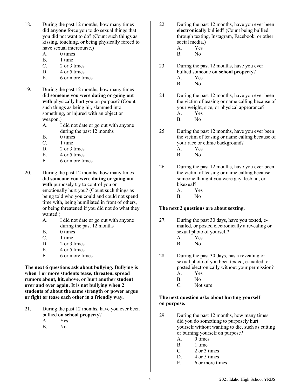- 18. During the past 12 months, how many times did **anyone** force you to do sexual things that you did not want to do? (Count such things as kissing, touching, or being physically forced to have sexual intercourse.)
	- A. 0 times
	- B. 1 time
	- C. 2 or 3 times
	- D. 4 or 5 times E. 6 or more times
- 19. During the past 12 months, how many times did **someone you were dating or going out with** physically hurt you on purpose? (Count such things as being hit, slammed into something, or injured with an object or weapon.)
	- A. I did not date or go out with anyone during the past 12 months
	- B. 0 times
	- C. 1 time
	- D. 2 or 3 times
	- E. 4 or 5 times
	- F. 6 or more times
- 20. During the past 12 months, how many times did **someone you were dating or going out with** purposely try to control you or emotionally hurt you? (Count such things as being told who you could and could not spend time with, being humiliated in front of others, or being threatened if you did not do what they wanted.)
	- A. I did not date or go out with anyone during the past 12 months
	- B. 0 times
	- C. 1 time
	- D. 2 or 3 times
	- E. 4 or 5 times
	- F. 6 or more times

**The next 6 questions ask about bullying. Bullying is when 1 or more students tease, threaten, spread rumors about, hit, shove, or hurt another student over and over again. It is not bullying when 2 students of about the same strength or power argue or fight or tease each other in a friendly way.**

- 21. During the past 12 months, have you ever been bullied **on school property**? A. Yes
	- B. No
- 22. During the past 12 months, have you ever been **electronically** bullied? (Count being bullied through texting, Instagram, Facebook, or other social media.)
	- A. Yes<br>B. No
	- $No$
- 23. During the past 12 months, have you ever bullied someone **on school property**?
	- A. Yes
	- B. No
- 24. During the past 12 months, have you ever been the victim of teasing or name calling because of your weight, size, or physical appearance?
	- A. Yes
	- B. No
- 25. During the past 12 months, have you ever been the victim of teasing or name calling because of your race or ethnic background?
	- A. Yes
	- B. No
- 26. During the past 12 months, have you ever been the victim of teasing or name calling because someone thought you were gay, lesbian, or bisexual?
	- A. Yes
	- B. No

# **The next 2 questions are about sexting.**

- 27. During the past 30 days, have you texted, emailed, or posted electronically a revealing or sexual photo of yourself?
	- A. Yes
	- B. No
- 28. During the past 30 days, has a revealing or sexual photo of you been texted, e-mailed, or posted electronically without your permission? A. Yes
	- B. No
	- C. Not sure

# **The next question asks about hurting yourself on purpose.**

- 29. During the past 12 months, how many times did you do something to purposely hurt yourself without wanting to die, such as cutting or burning yourself on purpose?
	- A. 0 times
	- B. 1 time
	- C. 2 or 3 times
	- D. 4 or 5 times
	- E. 6 or more times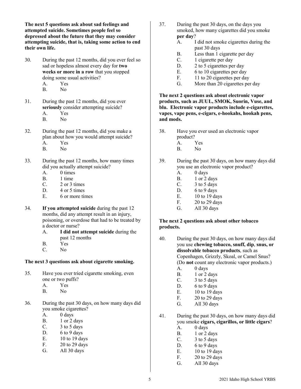**The next 5 questions ask about sad feelings and attempted suicide. Sometimes people feel so depressed about the future that they may consider attempting suicide, that is, taking some action to end their own life.**

- 30. During the past 12 months, did you ever feel so sad or hopeless almost every day for **two weeks or more in a row** that you stopped doing some usual activities? A. Yes
	- B. No
- 31. During the past 12 months, did you ever **seriously** consider attempting suicide?
	- A. Yes<br>B. No
	- N<sub>o</sub>
- 32. During the past 12 months, did you make a plan about how you would attempt suicide? A. Yes
	- B. No
- 33. During the past 12 months, how many times did you actually attempt suicide?
	- A. 0 times<br>B. 1 time
	- B. 1 time
	- C. 2 or 3 times
	- D. 4 or 5 times
	- E. 6 or more times
- 34. **If you attempted suicide** during the past 12 months, did any attempt result in an injury, poisoning, or overdose that had to be treated by a doctor or nurse?
	- A. **I did not attempt suicide** during the past 12 months
	- B. Yes
	- C. No

# **The next 3 questions ask about cigarette smoking.**

- 35. Have you ever tried cigarette smoking, even one or two puffs?
	- A. Yes
	- B. No
- 36. During the past 30 days, on how many days did you smoke cigarettes?
	- A. 0 days
	- B. 1 or 2 days
	- C. 3 to 5 days
	- D. 6 to 9 days
	- E. 10 to 19 days<br>F. 20 to 29 days
	- $20$  to  $29$  days
	- G. All 30 days
- 37. During the past 30 days, on the days you smoked, how many cigarettes did you smoke **per day**?
	- A. I did not smoke cigarettes during the past 30 days
	- B. Less than 1 cigarette per day
	- C. 1 cigarette per day
	- D. 2 to 5 cigarettes per day
	- E. 6 to 10 cigarettes per day
	- F. 11 to 20 cigarettes per day
	- G. More than 20 cigarettes per day

**The next 2 questions ask about electronic vapor products, such as JUUL, SMOK, Suorin, Vuse, and blu. Electronic vapor products include e-cigarettes, vapes, vape pens, e-cigars, e-hookahs, hookah pens, and mods.**

- 38. Have you ever used an electronic vapor product?
	- A. Yes
	- B. No
- 39. During the past 30 days, on how many days did you use an electronic vapor product?
	- A. 0 days
	- B. 1 or 2 days
	- C.  $3 \text{ to } 5 \text{ days}$
	- D.  $6$  to  $9$  days
	- E. 10 to 19 days
	- F. 20 to 29 days
	- G. All 30 days

# **The next 2 questions ask about other tobacco products.**

- 40. During the past 30 days, on how many days did you use **chewing tobacco, snuff, dip**, **snus, or dissolvable tobacco products**, such as Copenhagen, Grizzly, Skoal, or Camel Snus? (Do **not** count any electronic vapor products.)
	- A. 0 days
	- B. 1 or 2 days
	- C. 3 to 5 days
	- D. 6 to 9 days
	- E. 10 to 19 days<br>F. 20 to 29 days
	- $20$  to  $29$  days
		- G. All 30 days
- 41. During the past 30 days, on how many days did you smoke **cigars, cigarillos, or little cigars**?
	- A. 0 days
	- B. 1 or 2 days
	- C.  $3 \text{ to } 5 \text{ days}$
	- D. 6 to 9 days
	- E. 10 to 19 days
	- F. 20 to 29 days
		- G. All 30 days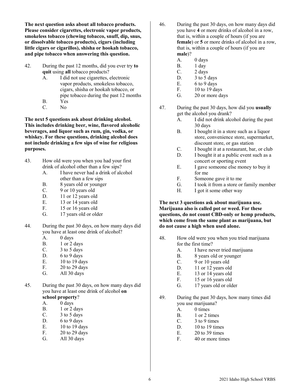**The next question asks about all tobacco products. Please consider cigarettes, electronic vapor products, smokeless tobacco (chewing tobacco, snuff, dip, snus, or dissolvable tobacco products), cigars (including little cigars or cigarillos), shisha or hookah tobacco, and pipe tobacco when answering this question.**

- 42. During the past 12 months, did you ever try **to quit** using **all** tobacco products?
	- A. I did not use cigarettes, electronic vapor products, smokeless tobacco, cigars, shisha or hookah tobacco, or pipe tobacco during the past 12 months
	- B. Yes
	- C. No

**The next 5 questions ask about drinking alcohol. This includes drinking beer, wine, flavored alcoholic beverages, and liquor such as rum, gin, vodka, or whiskey. For these questions, drinking alcohol does not include drinking a few sips of wine for religious purposes.**

- 43. How old were you when you had your first drink of alcohol other than a few sips?
	- A. I have never had a drink of alcohol other than a few sips
	- B. 8 years old or younger
	- C. 9 or 10 years old
	- D. 11 or 12 years old
	- E. 13 or 14 years old
	- F. 15 or 16 years old
	- G. 17 years old or older
- 44. During the past 30 days, on how many days did you have at least one drink of alcohol?
	- A. 0 days
	- B. 1 or 2 days
	- C.  $3 \text{ to } 5 \text{ days}$
	- D. 6 to 9 days
	- E. 10 to 19 days
	- F. 20 to 29 days
	- G. All 30 days
- 45. During the past 30 days, on how many days did you have at least one drink of alcohol **on school property**?
	- A. 0 days
	- B. 1 or 2 days
	- C. 3 to 5 days
	- D. 6 to 9 days
	- E. 10 to 19 days
	- F. 20 to 29 days
	- G. All 30 days
- 46. During the past 30 days, on how many days did you have **4** or more drinks of alcohol in a row, that is, within a couple of hours (if you are **female**) or **5** or more drinks of alcohol in a row, that is, within a couple of hours (if you are **male**)?
	- A. 0 days
	- B. 1 day
	- C. 2 days
	- D. 3 to 5 days
	- E. 6 to 9 days
	- F. 10 to 19 days
	- G. 20 or more days
- 47. During the past 30 days, how did you **usually** get the alcohol you drank?
	- A. I did not drink alcohol during the past 30 days
	- B. I bought it in a store such as a liquor store, convenience store, supermarket, discount store, or gas station
	- C. I bought it at a restaurant, bar, or club
	- D. I bought it at a public event such as a concert or sporting event
	- E. I gave someone else money to buy it for me
	- F. Someone gave it to me
	- G. I took it from a store or family member
	- H. I got it some other way

#### **The next 3 questions ask about marijuana use. Marijuana also is called pot or weed. For these questions, do not count CBD-only or hemp products, which come from the same plant as marijuana, but do not cause a high when used alone.**

- 48. How old were you when you tried marijuana for the first time?
	- A. I have never tried marijuana
	- B. 8 years old or younger
	- C. 9 or 10 years old
	- D. 11 or 12 years old
	- E. 13 or 14 years old
	- F. 15 or 16 years old
	- G. 17 years old or older
- 49. During the past 30 days, how many times did you use marijuana?
	- A. 0 times
	- B. 1 or 2 times
	- C. 3 to 9 times
	- D. 10 to 19 times
	- E. 20 to 39 times
	- F. 40 or more times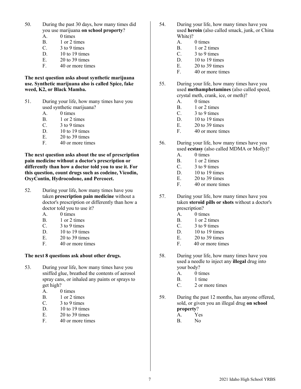- 50. During the past 30 days, how many times did you use marijuana **on school property**?
	- A. 0 times
	- B. 1 or 2 times
	- C.  $3 \text{ to } 9 \text{ times}$ <br>D.  $10 \text{ to } 19 \text{ time}$
	- $10$  to  $19$  times
	- E.  $20 \text{ to } 39 \text{ times}$ <br>F  $40 \text{ or more time}$
	- 40 or more times

#### **The next question asks about synthetic marijuana use. Synthetic marijuana also is called Spice, fake weed, K2, or Black Mamba.**

- 51. During your life, how many times have you used synthetic marijuana?
	- A. 0 times
	- B. 1 or 2 times
	- C.  $3 \text{ to } 9 \text{ times}$
	- D. 10 to 19 times
	- $E = 20$  to 39 times
	- F. 40 or more times

**The next question asks about the use of prescription pain medicine without a doctor**'**s prescription or differently than how a doctor told you to use it. For this question, count drugs such as codeine, Vicodin, OxyContin, Hydrocodone, and Percocet.**

- 52. During your life, how many times have you taken **prescription pain medicine** without a doctor's prescription or differently than how a doctor told you to use it?
	- A. 0 times
	- B. 1 or 2 times
	- C. 3 to 9 times
	- D. 10 to 19 times
	- E. 20 to 39 times<br>F. 40 or more time
	- 40 or more times

# **The next 8 questions ask about other drugs.**

- 53. During your life, how many times have you sniffed glue, breathed the contents of aerosol spray cans, or inhaled any paints or sprays to get high?
	- A. 0 times
	- B.  $1 \text{ or } 2 \text{ times}$ <br>C.  $3 \text{ to } 9 \text{ times}$
	- 3 to 9 times
	- D. 10 to 19 times
	- E. 20 to 39 times
	- F. 40 or more times
- 54. During your life, how many times have you used **heroin** (also called smack, junk, or China White)?
	- A. 0 times
	- B. 1 or 2 times<br>C. 3 to 9 times
	- 3 to 9 times
	- D. 10 to 19 times
	- E. 20 to 39 times
	- F. 40 or more times
- 55. During your life, how many times have you used **methamphetamines** (also called speed, crystal meth, crank, ice, or meth)?
	- A. 0 times
	- B. 1 or 2 times
	- C. 3 to 9 times
	- D. 10 to 19 times
	- E. 20 to 39 times
	- F. 40 or more times
- 56. During your life, how many times have you used **ecstasy** (also called MDMA or Molly)?
	- A. 0 times
	- B. 1 or 2 times
	- C. 3 to 9 times
	- D. 10 to 19 times<br>E. 20 to 39 times
	- E.  $20 \text{ to } 39 \text{ times}$ <br>F  $40 \text{ or more time}$
	- 40 or more times
- 57. During your life, how many times have you taken **steroid pills or shots** without a doctor's prescription?
	- A. 0 times
	- B. 1 or 2 times
	- C. 3 to 9 times
	- D. 10 to 19 times
	-
	- E.  $20 \text{ to } 39 \text{ times}$ <br>F.  $40 \text{ or more time}$ 40 or more times
- 58. During your life, how many times have you used a needle to inject any **illegal** drug into your body?
	- A. 0 times
	- B. 1 time
	- C. 2 or more times
- 59. During the past 12 months, has anyone offered, sold, or given you an illegal drug **on school property**?
	- A. Yes
	- B. No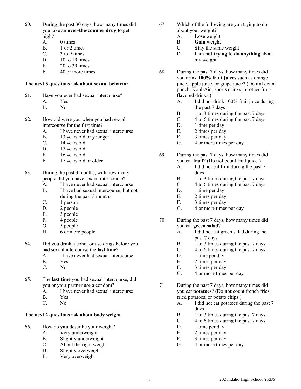- 60. During the past 30 days, how many times did you take an **over-the-counter drug** to get high?
	- A. 0 times
	- B. 1 or 2 times<br>C. 3 to 9 times
	- 3 to 9 times
	- D.  $10 \text{ to } 19 \text{ times}$
	- E. 20 to 39 times
	- F. 40 or more times

#### **The next 5 questions ask about sexual behavior.**

- 61. Have you ever had sexual intercourse?
	- A. Yes<br>B. No
	- N<sub>o</sub>
- 62. How old were you when you had sexual intercourse for the first time?
	- A. I have never had sexual intercourse
	- B. 13 years old or younger
	- C. 14 years old
	- D. 15 years old
	- E. 16 years old<br>F. 17 years old
	- 17 years old or older
- 63. During the past 3 months, with how many people did you have sexual intercourse?
	- A. I have never had sexual intercourse
	- B. I have had sexual intercourse, but not during the past 3 months
	- C. 1 person
	- D. 2 people
	- E. 3 people
	- F. 4 people
	- G. 5 people
	- H. 6 or more people
- 64. Did you drink alcohol or use drugs before you had sexual intercourse the **last time**?
	- A. I have never had sexual intercourse
	- B. Yes
	- C. No
- 65. The **last time** you had sexual intercourse, did you or your partner use a condom?
	- A. I have never had sexual intercourse<br>B. Yes
	- B. Yes<br>C. No.
	- N<sub>o</sub>

# **The next 2 questions ask about body weight.**

- 66. How do **you** describe your weight?
	- A. Very underweight
	- B. Slightly underweight
	- C. About the right weight
	- D. Slightly overweight
	- E. Very overweight
- 67. Which of the following are you trying to do about your weight?
	- A. **Lose** weight
	- B. **Gain** weight
	- C. **Stay** the same weight
	- I am **not trying to do anything** about my weight
- 68. During the past 7 days, how many times did you drink **100% fruit juices** such as orange juice, apple juice, or grape juice? (Do **not** count punch, Kool-Aid, sports drinks, or other fruitflavored drinks.)
	- A. I did not drink 100% fruit juice during the past 7 days
	- B. 1 to 3 times during the past 7 days<br>C. 4 to 6 times during the past 7 days
	- 4 to 6 times during the past 7 days
	- D. 1 time per day
	- E. 2 times per day
	- F. 3 times per day
	- G. 4 or more times per day
- 69. During the past 7 days, how many times did you eat **fruit**? (Do **not** count fruit juice.)
	- A. I did not eat fruit during the past 7 days
	- B. 1 to 3 times during the past 7 days
	- C. 4 to 6 times during the past 7 days
	- D. 1 time per day
	- E. 2 times per day
	- F. 3 times per day
	- G. 4 or more times per day
- 70. During the past 7 days, how many times did you eat **green salad**?
	- A. I did not eat green salad during the past 7 days
	- B. 1 to 3 times during the past 7 days
	- C. 4 to 6 times during the past 7 days
	- D. 1 time per day
	- E. 2 times per day
	- F. 3 times per day
	- G. 4 or more times per day
- 71. During the past 7 days, how many times did you eat **potatoes**? (Do **not** count french fries, fried potatoes, or potato chips.)
	- A. I did not eat potatoes during the past 7 days
	- B. 1 to 3 times during the past 7 days
	- C. 4 to 6 times during the past 7 days
	- D. 1 time per day
	- E. 2 times per day
	- F. 3 times per day
	- G. 4 or more times per day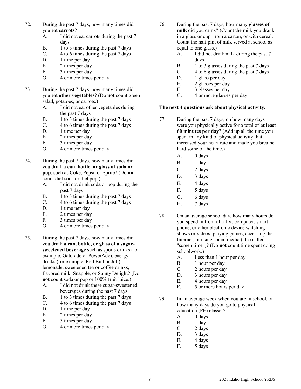- 72. During the past 7 days, how many times did you eat **carrots**?
	- A. I did not eat carrots during the past 7 days
	- B. 1 to 3 times during the past 7 days<br>C. 4 to 6 times during the past 7 days
	- 4 to 6 times during the past 7 days
	- D. 1 time per day
	- E. 2 times per day
	- F. 3 times per day
	- G. 4 or more times per day
- 73. During the past 7 days, how many times did you eat **other vegetables**? (Do **not** count green salad, potatoes, or carrots.)
	- A. I did not eat other vegetables during the past 7 days
	- B. 1 to 3 times during the past 7 days
	- C. 4 to 6 times during the past 7 days
	- D. 1 time per day
	- E. 2 times per day
	- F. 3 times per day
	- G. 4 or more times per day
- 74. During the past 7 days, how many times did you drink a **can, bottle, or glass of soda or pop**, such as Coke, Pepsi, or Sprite? (Do **not** count diet soda or diet pop.)
	- A. I did not drink soda or pop during the past 7 days
	- B. 1 to 3 times during the past 7 days
	- C. 4 to 6 times during the past 7 days
	- D. 1 time per day
	- E. 2 times per day
	- F. 3 times per day
	- G. 4 or more times per day
- 75. During the past 7 days, how many times did you drink **a can, bottle, or glass of a sugarsweetened beverage** such as sports drinks (for example, Gatorade or PowerAde), energy drinks (for example, Red Bull or Jolt), lemonade, sweetened tea or coffee drinks, flavored milk, Snapple, or Sunny Delight? (Do **not** count soda or pop or 100% fruit juice.)
	- A. I did not drink these sugar-sweetened beverages during the past 7 days
	- B. 1 to 3 times during the past 7 days
	- C. 4 to 6 times during the past 7 days
	- D. 1 time per day
	- E. 2 times per day
	- F. 3 times per day
	- G. 4 or more times per day
- 76. During the past 7 days, how many **glasses of milk** did you drink? (Count the milk you drank in a glass or cup, from a carton, or with cereal. Count the half pint of milk served at school as equal to one glass.)
	- A. I did not drink milk during the past 7 days
	- B. 1 to 3 glasses during the past 7 days
	- C. 4 to 6 glasses during the past 7 days
	- D. 1 glass per day
	- E. 2 glasses per day
	- F. 3 glasses per day
	- G. 4 or more glasses per day

#### **The next 4 questions ask about physical activity.**

- 77. During the past 7 days, on how many days were you physically active for a total of **at least 60 minutes per day**? (Add up all the time you spent in any kind of physical activity that increased your heart rate and made you breathe hard some of the time.)
	- A. 0 days
	- B. 1 day
	- C. 2 days
	- D. 3 days
	- E. 4 days
	- F. 5 days
	- G. 6 days
	- H. 7 days
- 78. On an average school day, how many hours do you spend in front of a TV, computer, smart phone, or other electronic device watching shows or videos, playing games, accessing the Internet, or using social media (also called "screen time")? (Do **not** count time spent doing schoolwork.)
	- A. Less than 1 hour per day
	- B. 1 hour per day
	- C. 2 hours per day
	- D. 3 hours per day<br>E. 4 hours per day
	- 4 hours per day
	- F. 5 or more hours per day
- 79. In an average week when you are in school, on how many days do you go to physical education (PE) classes?
	- A. 0 days
	- B. 1 day
	- C. 2 days
	- D. 3 days
	- E. 4 days
		- F. 5 days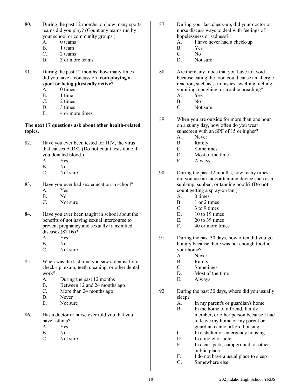- 80. During the past 12 months, on how many sports teams did you play? (Count any teams run by your school or community groups.)
	- A. 0 teams
	- B. 1 team<br>C. 2 teams
	- 2 teams
	- D. 3 or more teams
- 81. During the past 12 months, how many times did you have a concussion **from playing a sport or being physically active**?
	- A. 0 times
	- B. 1 time
	- C. 2 times
	- D. 3 times
	- E. 4 or more times

# **The next 17 questions ask about other health-related topics.**

- 82. Have you ever been tested for HIV, the virus that causes AIDS? (Do **not** count tests done if you donated blood.)
	- A. Yes
	- B. No
	- C. Not sure
- 83. Have you ever had sex education in school?
	- A. Yes
	- B. No
	- C. Not sure
- 84. Have you ever been taught in school about the benefits of not having sexual intercourse to prevent pregnancy and sexually transmitted diseases (STDs)?
	- A. Yes
	- B. No
	- C. Not sure
- 85. When was the last time you saw a dentist for a check-up, exam, teeth cleaning, or other dental work?
	- A. During the past 12 months
	- B. Between 12 and 24 months ago
	- C. More than 24 months ago
	- D. Never<br>E Not su
	- Not sure
- 86. Has a doctor or nurse ever told you that you have asthma?
	- A. Yes
	- B. No
	- C. Not sure
- 87. During your last check-up, did your doctor or nurse discuss ways to deal with feelings of hopelessness or sadness?
	- A. I have never had a check-up
	- B. Yes<br>C. No
	- N<sub>o</sub>
	- D. Not sure
- 88. Are there any foods that you have to avoid because eating the food could cause an allergic reaction, such as skin rashes, swelling, itching, vomiting, coughing, or trouble breathing?
	- A. Yes
	- B. No
	- C. Not sure
- 89. When you are outside for more than one hour on a sunny day, how often do you wear sunscreen with an SPF of 15 or higher?
	- A. Never
	- B. Rarely
	- C. Sometimes
	- D. Most of the time
	- E. Always
- 90. During the past 12 months, how many times did you use an indoor tanning device such as a sunlamp, sunbed, or tanning booth? (Do **not**  count getting a spray-on tan.)
	- A. 0 times
	- B. 1 or 2 times
	- C.  $3 \text{ to } 9 \text{ times}$
	- D. 10 to 19 times
	- E. 20 to 39 times
	- F. 40 or more times
- 91. During the past 30 days, how often did you go hungry because there was not enough food in your home?
	- A. Never
	- B. Rarely
	- C. Sometimes
	- D. Most of the time
	- E. Always
- 92. During the past 30 days, where did you usually sleep?
	- A. In my parent's or guardian's home
	- B. In the home of a friend, family member, or other person because I had to leave my home or my parent or guardian cannot afford housing
	- C. In a shelter or emergency housing
	- D. In a motel or hotel
	- E. In a car, park, campground, or other public place
	- F. I do not have a usual place to sleep
	- G. Somewhere else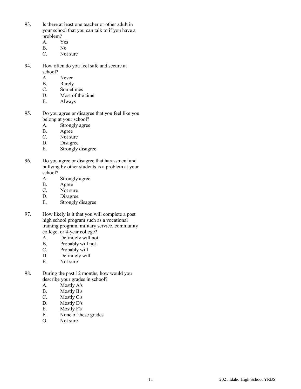- 93. Is there at least one teacher or other adult in your school that you can talk to if you have a problem?
	- A. Yes
	-
	- B. No<br>C. Not Not sure
- 94. How often do you feel safe and secure at school?
	- A. Never
	- B. Rarely
	- C. Sometimes
	- D. Most of the time
	- E. Always
- 95. Do you agree or disagree that you feel like you belong at your school?
	- A. Strongly agree
	- B. Agree
	- C. Not sure
	- D. Disagree
	- E. Strongly disagree
- 96. Do you agree or disagree that harassment and bullying by other students is a problem at your school?
	- A. Strongly agree
	- B. Agree<br>C. Not su
	- Not sure
	- D. Disagree
	- E. Strongly disagree
- 97. How likely is it that you will complete a post high school program such as a vocational training program, military service, community college, or 4-year college?
	- A. Definitely will not
	- B. Probably will not<br>C. Probably will
	- Probably will
	- D. Definitely will
	- E. Not sure
- 98. During the past 12 months, how would you describe your grades in school?
	- A. Mostly A's
	- B. Mostly B's
	-
	- C. Mostly C's<br>D. Mostly D's Mostly D's
	- E. Mostly F's
	- F. None of these grades
	- G. Not sure